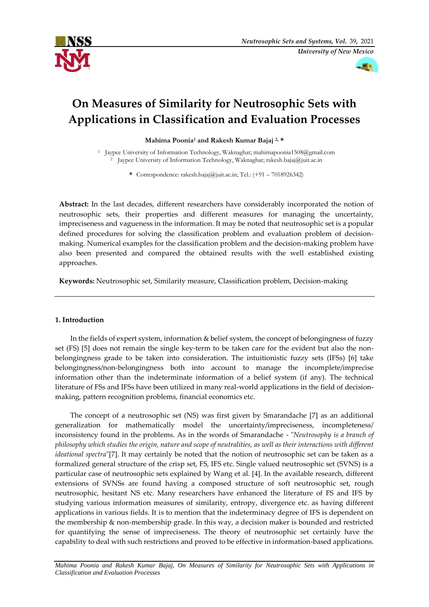



# **On Measures of Similarity for Neutrosophic Sets with Applications in Classification and Evaluation Processes**

**Mahima Poonia<sup>1</sup> and Rakesh Kumar Bajaj 2, \***

<sup>1</sup> Jaypee University of Information Technology, Waknaghat; mahimapoonia1508@gmail.com <sup>2</sup> Jaypee University of Information Technology, Waknaghat; rakesh.bajaj@juit.ac.in

**\*** Correspondence: rakesh.bajaj@juit.ac.in; Tel.: (+91 – 7018926342)

**Abstract:** In the last decades, different researchers have considerably incorporated the notion of neutrosophic sets, their properties and different measures for managing the uncertainty, impreciseness and vagueness in the information. It may be noted that neutrosophic set is a popular defined procedures for solving the classification problem and evaluation problem of decisionmaking. Numerical examples for the classification problem and the decision-making problem have also been presented and compared the obtained results with the well established existing approaches.

**Keywords:** Neutrosophic set, Similarity measure, Classification problem, Decision-making

### **1. Introduction**

In the fields of expert system, information & belief system, the concept of belongingness of fuzzy set (FS) [5] does not remain the single key-term to be taken care for the evident but also the nonbelongingness grade to be taken into consideration. The intuitionistic fuzzy sets (IFSs) [6] take belongingness/non-belongingness both into account to manage the incomplete/imprecise information other than the indeterminate information of a belief system (if any). The technical literature of FSs and IFSs have been utilized in many real-world applications in the field of decisionmaking, pattern recognition problems, financial economics etc.

The concept of a neutrosophic set (NS) was first given by Smarandache [7] as an additional generalization for mathematically model the uncertainty/impreciseness, incompleteness/ inconsistency found in the problems. As in the words of Smarandache - "*Neutrosophy is a branch of philosophy which studies the origin, nature and scope of neutralities, as well as their interactions with different ideational spectra*"[7]. It may certainly be noted that the notion of neutrosophic set can be taken as a formalized general structure of the crisp set, FS, IFS etc. Single valued neutrosophic set (SVNS) is a particular case of neutrosophic sets explained by Wang et al. [4]. In the available research, different extensions of SVNSs are found having a composed structure of soft neutrosophic set, rough neutrosophic, hesitant NS etc. Many researchers have enhanced the literature of FS and IFS by studying various information measures of similarity, entropy, divergence etc. as having different applications in various fields. It is to mention that the indeterminacy degree of IFS is dependent on the membership & non-membership grade. In this way, a decision maker is bounded and restricted for quantifying the sense of impreciseness. The theory of neutrosophic set certainly have the capability to deal with such restrictions and proved to be effective in information-based applications.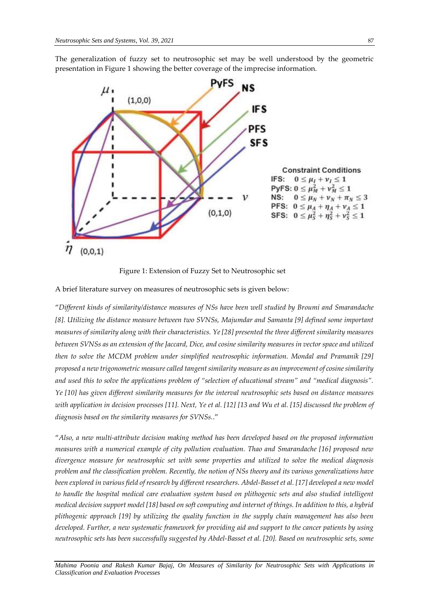

The generalization of fuzzy set to neutrosophic set may be well understood by the geometric presentation in Figure 1 showing the better coverage of the imprecise information.

Figure 1: Extension of Fuzzy Set to Neutrosophic set

A brief literature survey on measures of neutrosophic sets is given below:

"*Different kinds of similarity/distance measures of NSs have been well studied by Broumi and Smarandache [8]. Utilizing the distance measure between two SVNSs, Majumdar and Samanta [9] defined some important measures of similarity along with their characteristics. Ye [28] presented the three different similarity measures between SVNSs as an extension of the Jaccard, Dice, and cosine similarity measures in vector space and utilized then to solve the MCDM problem under simplified neutrosophic information. Mondal and Pramanik [29] proposed a new trigonometric measure called tangent similarity measure as an improvement of cosine similarity and used this to solve the applications problem of "selection of educational stream" and "medical diagnosis". Ye [10] has given different similarity measures for the interval neutrosophic sets based on distance measures with application in decision processes [11]. Next, Ye et al. [12] [13 and Wu et al. [15] discussed the problem of diagnosis based on the similarity measures for SVNSs.*."

"*Also, a new multi-attribute decision making method has been developed based on the proposed information measures with a numerical example of city pollution evaluation. Thao and Smarandache [16] proposed new divergence measure for neutrosophic set with some properties and utilized to solve the medical diagnosis problem and the classification problem. Recently, the notion of NSs theory and its various generalizations have been explored in various field of research by different researchers. Abdel-Basset et al. [17] developed a new model to handle the hospital medical care evaluation system based on plithogenic sets and also studied intelligent medical decision support model [18] based on soft computing and internet of things. In addition to this, a hybrid plithogenic approach [19] by utilizing the quality function in the supply chain management has also been developed. Further, a new systematic framework for providing aid and support to the cancer patients by using neutrosophic sets has been successfully suggested by Abdel-Basset et al. [20]. Based on neutrosophic sets, some*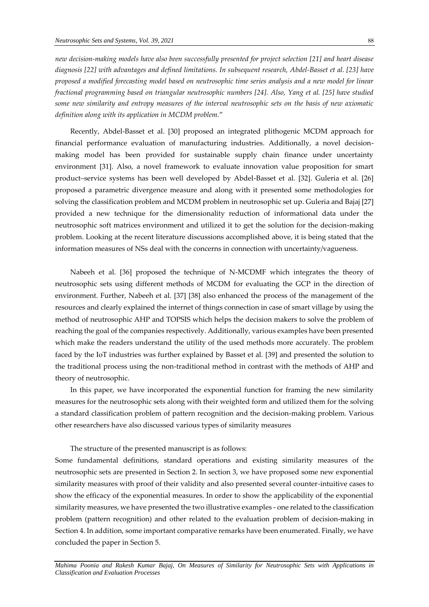*new decision-making models have also been successfully presented for project selection [21] and heart disease diagnosis [22] with advantages and defined limitations. In subsequent research, Abdel-Basset et al. [23] have proposed a modified forecasting model based on neutrosophic time series analysis and a new model for linear fractional programming based on triangular neutrosophic numbers [24]. Also, Yang et al. [25] have studied some new similarity and entropy measures of the interval neutrosophic sets on the basis of new axiomatic definition along with its application in MCDM problem.*"

Recently, Abdel-Basset et al. [30] proposed an integrated plithogenic MCDM approach for financial performance evaluation of manufacturing industries. Additionally, a novel decisionmaking model has been provided for sustainable supply chain finance under uncertainty environment [31]. Also, a novel framework to evaluate innovation value proposition for smart product–service systems has been well developed by Abdel-Basset et al. [32]. Guleria et al. [26] proposed a parametric divergence measure and along with it presented some methodologies for solving the classification problem and MCDM problem in neutrosophic set up. Guleria and Bajaj [27] provided a new technique for the dimensionality reduction of informational data under the neutrosophic soft matrices environment and utilized it to get the solution for the decision-making problem. Looking at the recent literature discussions accomplished above, it is being stated that the information measures of NSs deal with the concerns in connection with uncertainty/vagueness.

Nabeeh et al. [36] proposed the technique of N-MCDMF which integrates the theory of neutrosophic sets using different methods of MCDM for evaluating the GCP in the direction of environment. Further, Nabeeh et al. [37] [38] also enhanced the process of the management of the resources and clearly explained the internet of things connection in case of smart village by using the method of neutrosophic AHP and TOPSIS which helps the decision makers to solve the problem of reaching the goal of the companies respectively. Additionally, various examples have been presented which make the readers understand the utility of the used methods more accurately. The problem faced by the IoT industries was further explained by Basset et al. [39] and presented the solution to the traditional process using the non-traditional method in contrast with the methods of AHP and theory of neutrosophic.

In this paper, we have incorporated the exponential function for framing the new similarity measures for the neutrosophic sets along with their weighted form and utilized them for the solving a standard classification problem of pattern recognition and the decision-making problem. Various other researchers have also discussed various types of similarity measures

The structure of the presented manuscript is as follows:

Some fundamental definitions, standard operations and existing similarity measures of the neutrosophic sets are presented in Section 2. In section 3, we have proposed some new exponential similarity measures with proof of their validity and also presented several counter-intuitive cases to show the efficacy of the exponential measures. In order to show the applicability of the exponential similarity measures, we have presented the two illustrative examples - one related to the classification problem (pattern recognition) and other related to the evaluation problem of decision-making in Section 4. In addition, some important comparative remarks have been enumerated. Finally, we have concluded the paper in Section 5.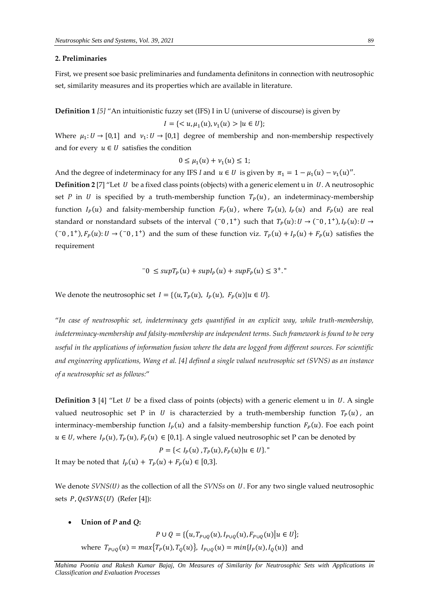#### **2. Preliminaries**

First, we present soe basic preliminaries and fundamenta definitons in connection with neutrosophic set, similarity measures and its properties which are available in literature.

**Definition 1** *[5]* "An intuitionistic fuzzy set (IFS) I in U (universe of discourse) is given by

$$
I = \{ < u, \mu_1(u), \nu_1(u) > | u \in U \};
$$

Where  $\mu_1: U \to [0,1]$  and  $\nu_1: U \to [0,1]$  degree of membership and non-membership respectively and for every  $u \in U$  satisfies the condition

$$
0\leq \mu_1(u)+\nu_1(u)\leq 1;
$$

And the degree of indeterminacy for any IFS *I* and  $u \in U$  is given by  $\pi_1 = 1 - \mu_1(u) - \nu_1(u)$ ".

**Definition 2** [7] "Let  $U$  be a fixed class points (objects) with a generic element u in  $U$ . A neutrosophic set *P* in *U* is specified by a truth-membership function  $T_P(u)$ , an indeterminacy-membership function  $I_P(u)$  and falsity-membership function  $F_P(u)$ , where  $T_P(u)$ ,  $I_P(u)$  and  $F_P(u)$  are real standard or nonstandard subsets of the interval  $(0, 1^+)$  such that  $T_p(u): U \to (0^0, 1^+)$ ,  $I_p(u): U \to$  $(0, 1^+), F_P(u): U \to (0^0, 1^+)$  and the sum of these function viz.  $T_P(u) + I_P(u) + F_P(u)$  satisfies the requirement

$$
-0 \leq supT_P(u) + supI_P(u) + supF_P(u) \leq 3^+.
$$

We denote the neutrosophic set  $I = \{(u, T_P(u), I_P(u), F_P(u) | u \in U\}.$ 

"*In case of neutrosophic set, indeterminacy gets quantified in an explicit way, while truth-membership, indeterminacy-membership and falsity-membership are independent terms. Such framework is found to be very useful in the applications of information fusion where the data are logged from different sources. For scientific and engineering applications, Wang et al. [4] defined a single valued neutrosophic set (SVNS) as an instance of a neutrosophic set as follows:*"

**Definition 3** [4] "Let  $U$  be a fixed class of points (objects) with a generic element u in  $U$ . A single valued neutrosophic set P in U is characterzied by a truth-membership function  $T_p(u)$ , an interminacy-membership function  $I_P(u)$  and a falsity-membership function  $F_P(u)$ . Foe each point  $u \in U$ , where  $I_P(u)$ ,  $T_P(u)$ ,  $F_P(u) \in [0,1]$ . A single valued neutrosophic set P can be denoted by

$$
P = \{ \langle I_P(u), T_P(u), F_P(u) | u \in U \}.
$$

It may be noted that  $I_P(u) + T_P(u) + F_P(u) \in [0,3]$ .

We denote *SVNS(U)* as the collection of all the *SVNSs* on *U*. For any two single valued neutrosophic sets  $P, Q \in SVNS(U)$  (Refer [4]):

**Union of** *P* **and** *Q***:**

 $P \cup Q = \{(u, T_{P \cup Q}(u), I_{P \cup Q}(u), F_{P \cup Q}(u) | u \in U\};$ where  $T_{P\cup Q}(u) = max\{T_P(u), T_Q(u)\}, I_{P\cup Q}(u) = min\{I_P(u), I_Q(u)\}$  and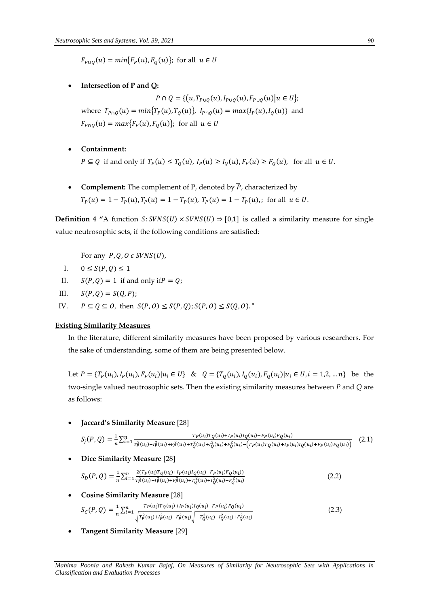$F_{P\cup Q}(u) = min\{F_P(u), F_Q(u)\};$  for all  $u \in U$ 

**Intersection of P and Q:**

 $P \cap Q = \{(u, T_{P \cup Q}(u), I_{P \cup Q}(u), F_{P \cup Q}(u) | u \in U\};\$ where  $T_{P \cap Q}(u) = min\{T_P(u), T_Q(u)\}, I_{P \cap Q}(u) = max\{I_P(u), I_Q(u)\}$  and  $F_{P\cap Q}(u) = max\{F_P(u), F_Q(u)\};$  for all  $u \in U$ 

- **Containment:**  $P \subseteq Q$  if and only if  $T_P(u) \leq T_Q(u)$ ,  $I_P(u) \geq I_Q(u)$ ,  $F_P(u) \geq F_Q(u)$ , for all  $u \in U$ .
- **Complement:** The complement of P, denoted by  $\overline{P}$ , characterized by  $T_P(u) = 1 - T_P(u)$ ,  $T_P(u) = 1 - T_P(u)$ ,  $T_P(u) = 1 - T_P(u)$ ,; for all  $u \in U$ .

**Definition 4 "**A function  $S:SVNS(U) \times SVNS(U) \Rightarrow [0,1]$  is called a similarity measure for single value neutrosophic sets, if the following conditions are satisfied:

For any  $P, Q, O \in SVNS(U)$ ,

- I.  $0 \le S(P,Q) \le 1$
- II.  $S(P, Q) = 1$  if and only if  $P = Q$ .
- III.  $S(P, Q) = S(Q, P);$
- IV.  $P \subseteq Q \subseteq O$ , then  $S(P, O) \leq S(P, Q)$ ;  $S(P, O) \leq S(Q, O)$ ."

#### **Existing Similarity Measures**

In the literature, different similarity measures have been proposed by various researchers. For the sake of understanding, some of them are being presented below.

Let  $P = \{T_P(u_i), I_P(u_i), F_P(u_i)|u_i \in U\}$  &  $Q = \{T_Q(u_i), I_Q(u_i), F_Q(u_i)|u_i \in U, i = 1, 2, ..., n\}$  be the two-single valued neutrosophic sets. Then the existing similarity measures between *P* and *Q* are as follows:

**Jaccard's Similarity Measure** [28]

$$
S_j(P,Q) = \frac{1}{n} \sum_{i=1}^n \frac{T_P(u_i) T_Q(u_i) + I_P(u_i) I_Q(u_i) + F_P(u_i) F_Q(u_i)}{T_P^2(u_i) + I_P^2(u_i) + T_Q^2(u_i) + I_Q^2(u_i) + I_Q^2(u_i) + F_Q^2(u_i) - (T_P(u_i) T_Q(u_i) + I_P(u_i) I_Q(u_i) + F_P(u_i) F_Q(u_i)}
$$
(2.1)

**Dice Similarity Measure** [28]

$$
S_D(P,Q) = \frac{1}{n} \sum_{i=1}^n \frac{2(T_P(u_i)T_Q(u_i) + I_P(u_i)I_Q(u_i) + F_P(u_i)F_Q(u_i))}{T_P^2(u_i) + T_P^2(u_i) + T_Q^2(u_i) + T_Q^2(u_i) + T_Q^2(u_i)}
$$
(2.2)

**Cosine Similarity Measure** [28]

$$
S_C(P,Q) = \frac{1}{n} \sum_{i=1}^n \frac{T_P(u_i)T_Q(u_i) + I_P(u_i)I_Q(u_i) + F_P(u_i)F_Q(u_i)}{\sqrt{T_P^2(u_i) + I_P^2(u_i) + F_P^2(u_i)} \sqrt{T_Q^2(u_i) + I_Q^2(u_i) + F_Q^2(u_i)}}
$$
(2.3)

**Tangent Similarity Measure** [29]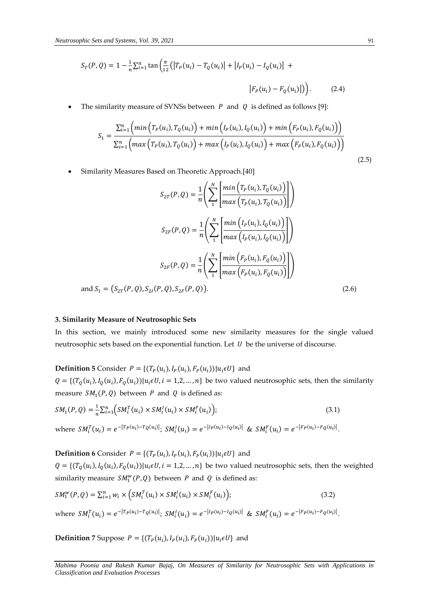$$
S_T(P,Q) = 1 - \frac{1}{n} \sum_{i=1}^n \tan\left(\frac{\pi}{12} (|T_P(u_i) - T_Q(u_i)| + |I_P(u_i) - I_Q(u_i)| + |F_P(u_i) - F_Q(u_i)|)\right).
$$
 (2.4)

The similarity measure of SVNSs between  $P$  and  $Q$  is defined as follows [9]:

$$
S_{1} = \frac{\sum_{i=1}^{n} \left( \min \left( T_{P}(u_{i}), T_{Q}(u_{i}) \right) + \min \left( I_{P}(u_{i}), I_{Q}(u_{i}) \right) + \min \left( F_{P}(u_{i}), F_{Q}(u_{i}) \right) \right)}{\sum_{i=1}^{n} \left( \max \left( T_{P}(u_{i}), T_{Q}(u_{i}) \right) + \max \left( I_{P}(u_{i}), I_{Q}(u_{i}) \right) + \max \left( F_{P}(u_{i}), F_{Q}(u_{i}) \right) \right)}
$$
(2.5)

Similarity Measures Based on Theoretic Approach.[40]

$$
S_{2T}(P,Q) = \frac{1}{n} \left( \sum_{1}^{N} \left[ \frac{\min\left(T_{P}(u_{i}), T_{Q}(u_{i})\right)}{\max\left(T_{P}(u_{i}), T_{Q}(u_{i})\right)} \right] \right)
$$
  

$$
S_{2F}(P,Q) = \frac{1}{n} \left( \sum_{1}^{N} \left[ \frac{\min\left(I_{P}(u_{i}), I_{Q}(u_{i})\right)}{\max\left(I_{P}(u_{i}), I_{Q}(u_{i})\right)} \right] \right)
$$
  

$$
S_{2F}(P,Q) = \frac{1}{n} \left( \sum_{1}^{N} \left[ \frac{\min\left(F_{P}(u_{i}), F_{Q}(u_{i})\right)}{\max\left(F_{P}(u_{i}), F_{Q}(u_{i})\right)} \right] \right)
$$
  
and  $S_{1} = (S_{2T}(P,Q), S_{2I}(P,Q), S_{2F}(P,Q)).$  (2.6)

#### **3. Similarity Measure of Neutrosophic Sets**

In this section, we mainly introduced some new similarity measures for the single valued neutrosophic sets based on the exponential function. Let  $U$  be the universe of discourse.

## **Definition 5** Consider  $P = \{(T_P(u_i), I_P(u_i), F_P(u_i)) | u_i \in U\}$  and

 $Q = \{(T_Q(u_i), I_Q(u_i), F_Q(u_i)) | u_i \in U, i = 1, 2, ..., n\}$  be two valued neutrosophic sets, then the similarity measure  $SM_1(P,Q)$  between P and Q is defined as:

$$
SM_1(P,Q) = \frac{1}{n} \sum_{i=1}^n \Big( SM_i^T(u_i) \times SM_i^I(u_i) \times SM_i^F(u_i) \Big);
$$
\n(3.1)

where  $SM_i^T(u_i) = e^{-|T_P(u_i) - T_Q(u_i)|}$ ;  $SM_i^I(u_i) = e^{-|I_P(u_i) - I_Q(u_i)|}$  &  $SM_i^F(u_i) = e^{-|F_P(u_i) - F_Q(u_i)|}$ .

**Definition 6** Consider  $P = \{(T_P(u_i), I_P(u_i), F_P(u_i)) | u_i \in U\}$  and

 $Q = \{(T_Q(u_i), I_Q(u_i), F_Q(u_i)) | u_i \in U, i = 1, 2, ..., n\}$  be two valued neutrosophic sets, then the weighted similarity measure  $SM_1^w(P,Q)$  between P and Q is defined as:

$$
SM_1^w(P,Q) = \sum_{i=1}^n w_i \times \left(SM_i^T(u_i) \times SM_i^I(u_i) \times SM_i^F(u_i)\right);
$$
\n(3.2)

where  $SM_i^T(u_i) = e^{-|T_P(u_i) - T_Q(u_i)|}$ ;  $SM_i^I(u_i) = e^{-|I_P(u_i) - I_Q(u_i)|}$  &  $SM_i^F(u_i) = e^{-|F_P(u_i) - F_Q(u_i)|}$ .

**Definition** 7 Suppose  $P = \{(T_P(u_i), I_P(u_i), F_P(u_i)) | u_i \in U\}$  and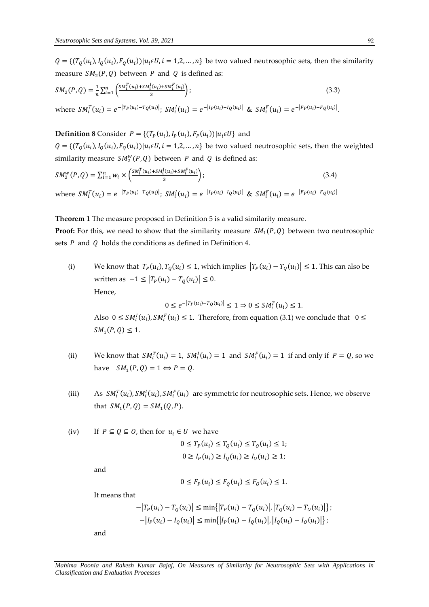$Q = \{(T_Q(u_i), I_Q(u_i), F_Q(u_i)) | u_i \in U, i = 1, 2, ..., n\}$  be two valued neutrosophic sets, then the similarity measure  $SM_2(P,Q)$  between P and Q is defined as:

$$
SM_2(P,Q) = \frac{1}{n} \sum_{i=1}^n \left( \frac{SM_i^T(u_i) + SM_i^I(u_i) + SM_i^F(u_i)}{3} \right);
$$
\n(3.3)

where  $SM_i^T(u_i) = e^{-|T_P(u_i) - T_Q(u_i)|}$ ;  $SM_i^I(u_i) = e^{-|I_P(u_i) - I_Q(u_i)|}$  &  $SM_i^F(u_i) = e^{-|F_P(u_i) - F_Q(u_i)|}$ .

## **Definition 8** Consider  $P = \{(T_P(u_i), I_P(u_i), F_P(u_i)) | u_i \in U\}$  and

 $Q = \{(T_Q(u_i), I_Q(u_i), F_Q(u_i)) | u_i \in U, i = 1, 2, ..., n\}$  be two valued neutrosophic sets, then the weighted similarity measure  $SM_2^w(P,Q)$  between P and Q is defined as:

$$
SM_2^w(P, Q) = \sum_{i=1}^n w_i \times \left(\frac{SM_i^T(u_i) + SM_i^I(u_i) + SM_i^F(u_i)}{3}\right);
$$
\n
$$
\text{where } SM_i^T(u_i) = e^{-|T_P(u_i) - T_Q(u_i)|}; SM_i^I(u_i) = e^{-|I_P(u_i) - I_Q(u_i)|} \& SM_i^F(u_i) = e^{-|F_P(u_i) - F_Q(u_i)|}
$$
\n
$$
(3.4)
$$

**Theorem 1** The measure proposed in Definition 5 is a valid similarity measure.

**Proof:** For this, we need to show that the similarity measure  $SM_1(P,Q)$  between two neutrosophic sets  $P$  and  $Q$  holds the conditions as defined in Definition 4.

(i) We know that  $T_P(u_i), T_Q(u_i) \leq 1$ , which implies  $|T_P(u_i) - T_Q(u_i)| \leq 1$ . This can also be written as  $-1 \leq |T_P(u_i) - T_Q(u_i)| \leq 0$ . Hence,

 $0 \le e^{-|T_P(u_i)-T_Q(u_i)|} \le 1 \Rightarrow 0 \le SM_i^T(u_i) \le 1.$ Also  $0 \le SM_i^I(u_i), SM_i^F(u_i) \le 1$ . Therefore, from equation (3.1) we conclude that  $0 \le$  $SM_1(P,Q) \leq 1.$ 

- (ii) We know that  $SM_i^T(u_i) = 1$ ,  $SM_i^I(u_i) = 1$  and  $SM_i^F(u_i) = 1$  if and only if  $P = Q$ , so we have  $SM_1(P,Q) = 1 \Leftrightarrow P = Q$ .
- (iii) As  $SM_i^T(u_i)$ ,  $SM_i^I(u_i)$ ,  $SM_i^F(u_i)$  are symmetric for neutrosophic sets. Hence, we observe that  $SM_1(P,Q) = SM_1(Q,P)$ .

(iv) If 
$$
P \subseteq Q \subseteq O
$$
, then for  $u_i \in U$  we have  

$$
0 \le T_P(u_i) \le T_Q(u_i) \le T_O(u_i) \le 1;
$$

$$
0 \ge I_P(u_i) \ge I_Q(u_i) \ge I_O(u_i) \ge 1;
$$

and

$$
0 \le F_P(u_i) \le F_Q(u_i) \le F_Q(u_i) \le 1.
$$

It means that

$$
-|T_P(u_i) - T_Q(u_i)| \le \min\{|T_P(u_i) - T_Q(u_i)|, |T_Q(u_i) - T_O(u_i)|\};
$$
  

$$
-|I_P(u_i) - I_Q(u_i)| \le \min\{|I_P(u_i) - I_Q(u_i)|, |I_Q(u_i) - I_O(u_i)|\};
$$

and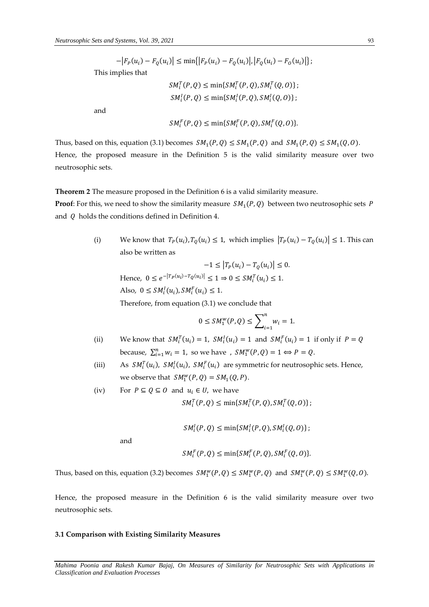$-|F_P(u_i) - F_Q(u_i)| \leq \min\{|F_P(u_i) - F_Q(u_i)|, |F_Q(u_i) - F_Q(u_i)|\};$ This implies that

$$
SM_i^T(P, Q) \le \min\{SM_i^T(P, Q), SM_i^T(Q, O)\};
$$
  

$$
SM_i^I(P, Q) \le \min\{SM_i^I(P, Q), SM_i^I(Q, O)\};
$$

and

$$
SM_i^F(P,Q) \le \min\{SM_i^F(P,Q), SM_i^F(Q,O)\}.
$$

Thus, based on this, equation (3.1) becomes  $SM_1(P,Q) \leq SM_1(P,Q)$  and  $SM_1(P,Q) \leq SM_1(Q,0)$ . Hence, the proposed measure in the Definition 5 is the valid similarity measure over two neutrosophic sets.

**Theorem 2** The measure proposed in the Definition 6 is a valid similarity measure.

**Proof**: For this, we need to show the similarity measure  $\mathit{SM}_1(P,Q)$  between two neutrosophic sets  $\mathit{P}$ and  $Q$  holds the conditions defined in Definition 4.

> (i) We know that  $T_P(u_i)$ ,  $T_Q(u_i) \leq 1$ , which implies  $|T_P(u_i) - T_Q(u_i)| \leq 1$ . This can also be written as

 $-1 \leq |T_P(u_i) - T_Q(u_i)| \leq 0.$ Hence,  $0 \le e^{-|T_P(u_i)-T_Q(u_i)|} \le 1 \Rightarrow 0 \le SM_i^T(u_i) \le 1.$ Also,  $0 \leq SM_i^I(u_i), SM_i^F(u_i) \leq 1.$ Therefore, from equation (3.1) we conclude that

$$
0 \leq SM_1^w(P, Q) \leq \sum_{i=1}^n w_i = 1.
$$

- (ii) We know that  $SM_i^T(u_i) = 1$ ,  $SM_i^I(u_i) = 1$  and  $SM_i^F(u_i) = 1$  if only if  $P = Q$ because,  $\sum_{i=1}^{n} w_i = 1$ , so we have ,  $SM_1^w(P,Q) = 1 \Leftrightarrow P = Q$ .
- (iii) As  $SM_i^T(u_i)$ ,  $SM_i^I(u_i)$ ,  $SM_i^F(u_i)$  are symmetric for neutrosophic sets. Hence, we observe that  $SM_1^w(P,Q) = SM_1(Q,P)$ .
- (iv) For  $P \subseteq Q \subseteq O$  and  $u_i \in U$ , we have  $SM_i^T(P,Q) \le \min\{SM_i^T(P,Q), SM_i^T(Q,O)\};$

 $SM_i^I(P,Q) \leq \min\{SM_i^I(P,Q), SM_i^I(Q,O)\};$ 

and

$$
SM_i^F(P,Q) \le \min\{SM_i^F(P,Q), SM_i^F(Q,O)\}.
$$

Thus, based on this, equation (3.2) becomes  $SM_1^w(P,Q) \leq SM_1^w(P,Q)$  and  $SM_1^w(P,Q) \leq SM_1^w(Q,0)$ .

Hence, the proposed measure in the Definition 6 is the valid similarity measure over two neutrosophic sets.

### **3.1 Comparison with Existing Similarity Measures**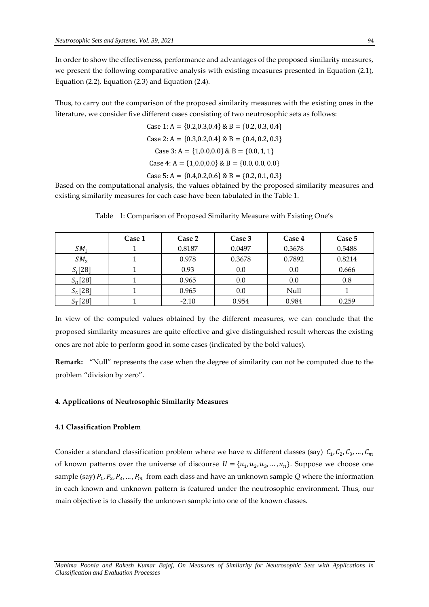In order to show the effectiveness, performance and advantages of the proposed similarity measures, we present the following comparative analysis with existing measures presented in Equation (2.1), Equation (2.2), Equation (2.3) and Equation (2.4).

Thus, to carry out the comparison of the proposed similarity measures with the existing ones in the literature, we consider five different cases consisting of two neutrosophic sets as follows:

Case 1: 
$$
A = \{0.2, 0.3, 0.4\}
$$
 & B =  $\{0.2, 0.3, 0.4\}$   
Case 2:  $A = \{0.3, 0.2, 0.4\}$  & B =  $\{0.4, 0.2, 0.3\}$   
Case 3:  $A = \{1, 0.0, 0.0\}$  & B =  $\{0.0, 1, 1\}$   
Case 4:  $A = \{1, 0.0, 0.0\}$  & B =  $\{0.0, 0.0, 0.0\}$   
Case 5:  $A = \{0.4, 0.2, 0.6\}$  & B =  $\{0.2, 0.1, 0.3\}$ 

Based on the computational analysis, the values obtained by the proposed similarity measures and existing similarity measures for each case have been tabulated in the Table 1.

|                 | Case 1 | Case 2  | Case 3 | Case 4 | Case 5 |
|-----------------|--------|---------|--------|--------|--------|
| SM <sub>1</sub> |        | 0.8187  | 0.0497 | 0.3678 | 0.5488 |
| SM <sub>2</sub> |        | 0.978   | 0.3678 | 0.7892 | 0.8214 |
| $S_i[28]$       |        | 0.93    | 0.0    | 0.0    | 0.666  |
| $S_D[28]$       |        | 0.965   | 0.0    | 0.0    | 0.8    |
| $S_c[28]$       |        | 0.965   | 0.0    | Null   |        |
| $S_T[28]$       |        | $-2.10$ | 0.954  | 0.984  | 0.259  |

Table 1: Comparison of Proposed Similarity Measure with Existing One's

In view of the computed values obtained by the different measures, we can conclude that the proposed similarity measures are quite effective and give distinguished result whereas the existing ones are not able to perform good in some cases (indicated by the bold values).

**Remark:** "Null" represents the case when the degree of similarity can not be computed due to the problem "division by zero".

### **4. Applications of Neutrosophic Similarity Measures**

#### **4.1 Classification Problem**

Consider a standard classification problem where we have m different classes (say)  $C_1, C_2, C_3, ..., C_m$ of known patterns over the universe of discourse  $U = \{u_1, u_2, u_3, ..., u_n\}$ . Suppose we choose one sample (say)  $P_1, P_2, P_3, ..., P_m$  from each class and have an unknown sample  $Q$  where the information in each known and unknown pattern is featured under the neutrosophic environment. Thus, our main objective is to classify the unknown sample into one of the known classes.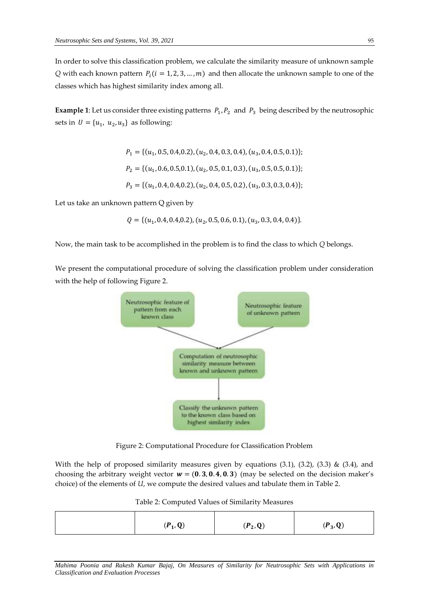In order to solve this classification problem, we calculate the similarity measure of unknown sample *Q* with each known pattern  $P_i$  ( $i = 1, 2, 3, ..., m$ ) and then allocate the unknown sample to one of the classes which has highest similarity index among all.

**Example 1**: Let us consider three existing patterns  $P_1, P_2$  and  $P_3$  being described by the neutrosophic sets in  $U = \{u_1, u_2, u_3\}$  as following:

$$
P_1 = \{(u_1, 0.5, 0.4, 0.2), (u_2, 0.4, 0.3, 0.4), (u_3, 0.4, 0.5, 0.1)\};
$$
  
\n
$$
P_2 = \{(u_1, 0.6, 0.5, 0.1), (u_2, 0.5, 0.1, 0.3), (u_3, 0.5, 0.5, 0.1)\};
$$
  
\n
$$
P_3 = \{(u_1, 0.4, 0.4, 0.2), (u_2, 0.4, 0.5, 0.2), (u_3, 0.3, 0.3, 0.4)\};
$$

Let us take an unknown pattern Q given by

$$
Q = \{ (u_1, 0.4, 0.4, 0.2), (u_2, 0.5, 0.6, 0.1), (u_3, 0.3, 0.4, 0.4) \}.
$$

Now, the main task to be accomplished in the problem is to find the class to which *Q* belongs.

We present the computational procedure of solving the classification problem under consideration with the help of following Figure 2.



Figure 2: Computational Procedure for Classification Problem

With the help of proposed similarity measures given by equations (3.1), (3.2), (3.3) & (3.4), and choosing the arbitrary weight vector  $w = (0.3, 0.4, 0.3)$  (may be selected on the decision maker's choice) of the elements of *U*, we compute the desired values and tabulate them in Table 2.

| $(P_1,Q)$ | $(P_2,Q)$ | $(P_3,Q)$ |
|-----------|-----------|-----------|

Table 2: Computed Values of Similarity Measures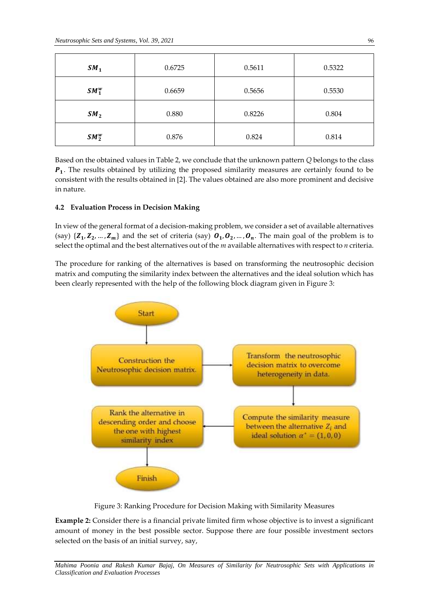| SM <sub>1</sub> | 0.6725 | 0.5611 | 0.5322 |
|-----------------|--------|--------|--------|
| $SM_1^w$        | 0.6659 | 0.5656 | 0.5530 |
| SM <sub>2</sub> | 0.880  | 0.8226 | 0.804  |
| $SM_2^w$        | 0.876  | 0.824  | 0.814  |

Based on the obtained values in Table 2, we conclude that the unknown pattern *Q* belongs to the class  $P_1$ . The results obtained by utilizing the proposed similarity measures are certainly found to be consistent with the results obtained in [2]. The values obtained are also more prominent and decisive in nature.

### **4.2 Evaluation Process in Decision Making**

In view of the general format of a decision-making problem, we consider a set of available alternatives (say)  $\{Z_1, Z_2, ..., Z_m\}$  and the set of criteria (say)  $\mathbf{0}_1, \mathbf{0}_2, ..., \mathbf{0}_n$ . The main goal of the problem is to select the optimal and the best alternatives out of the *m* available alternatives with respect to *n* criteria.

The procedure for ranking of the alternatives is based on transforming the neutrosophic decision matrix and computing the similarity index between the alternatives and the ideal solution which has been clearly represented with the help of the following block diagram given in Figure 3:



Figure 3: Ranking Procedure for Decision Making with Similarity Measures

**Example 2:** Consider there is a financial private limited firm whose objective is to invest a significant amount of money in the best possible sector. Suppose there are four possible investment sectors selected on the basis of an initial survey, say,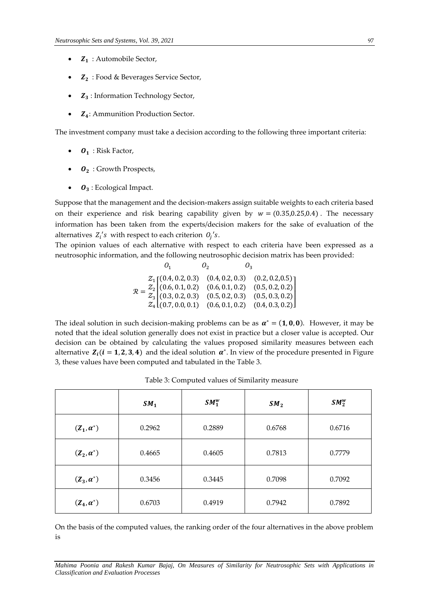- $\bullet$   $\mathbf{Z}_1$ : Automobile Sector,
- $\bullet$   $\mathbb{Z}_2$ : Food & Beverages Service Sector,
- Z<sub>3</sub>: Information Technology Sector,
- $\bullet$   $\mathbb{Z}_4$ : Ammunition Production Sector.

The investment company must take a decision according to the following three important criteria:

- $\bullet$   $\mathbf{0}_1$ : Risk Factor,
- $\bullet$   $\mathbf{0}_2$ : Growth Prospects,
- $\bullet$   $\mathbf{0}_3$ : Ecological Impact.

Suppose that the management and the decision-makers assign suitable weights to each criteria based on their experience and risk bearing capability given by  $w = (0.35, 0.25, 0.4)$ . The necessary information has been taken from the experts/decision makers for the sake of evaluation of the alternatives  $Z_i$ 's with respect to each criterion  $O_j$ 's.

The opinion values of each alternative with respect to each criteria have been expressed as a neutrosophic information, and the following neutrosophic decision matrix has been provided:

$$
\mathcal{R} = \frac{Z_1}{Z_3} \begin{bmatrix} (0.4, 0.2, 0.3) & (0.4, 0.2, 0.3) & (0.2, 0.2, 0.5) \\ (0.6, 0.1, 0.2) & (0.6, 0.1, 0.2) & (0.5, 0.2, 0.2) \\ (0.3, 0.2, 0.3) & (0.5, 0.2, 0.3) & (0.5, 0.3, 0.2) \\ Z_4 \left[ (0.7, 0.0, 0.1) & (0.6, 0.1, 0.2) & (0.4, 0.3, 0.2) \right] \end{bmatrix}
$$

The ideal solution in such decision-making problems can be as  $\alpha^* = (1, 0, 0)$ . However, it may be noted that the ideal solution generally does not exist in practice but a closer value is accepted. Our decision can be obtained by calculating the values proposed similarity measures between each alternative  $Z_i$  ( $i = 1, 2, 3, 4$ ) and the ideal solution  $\alpha^*$ . In view of the procedure presented in Figure 3, these values have been computed and tabulated in the Table 3.

|                   | SM <sub>1</sub> | $SM_1^w$ | SM <sub>2</sub> | $SM_2^w$ |
|-------------------|-----------------|----------|-----------------|----------|
| $(Z_1, \alpha^*)$ | 0.2962          | 0.2889   | 0.6768          | 0.6716   |
| $(Z_2, \alpha^*)$ | 0.4665          | 0.4605   | 0.7813          | 0.7779   |
| $(Z_3, \alpha^*)$ | 0.3456          | 0.3445   | 0.7098          | 0.7092   |
| $(Z_4, \alpha^*)$ | 0.6703          | 0.4919   | 0.7942          | 0.7892   |

Table 3: Computed values of Similarity measure

On the basis of the computed values, the ranking order of the four alternatives in the above problem is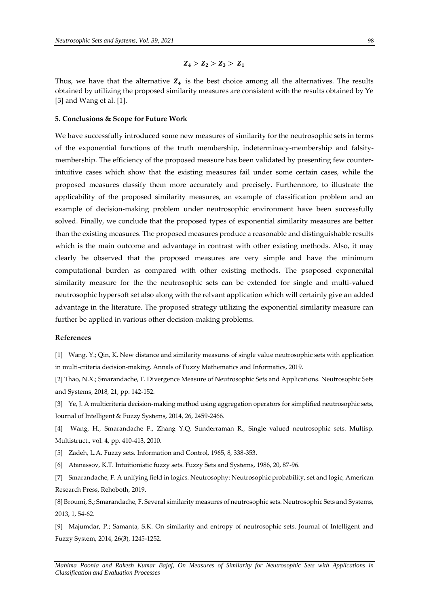# $Z_4 > Z_2 > Z_3 > Z_1$

Thus, we have that the alternative  $Z_4$  is the best choice among all the alternatives. The results obtained by utilizing the proposed similarity measures are consistent with the results obtained by Ye [3] and Wang et al. [1].

#### **5. Conclusions & Scope for Future Work**

We have successfully introduced some new measures of similarity for the neutrosophic sets in terms of the exponential functions of the truth membership, indeterminacy-membership and falsitymembership. The efficiency of the proposed measure has been validated by presenting few counterintuitive cases which show that the existing measures fail under some certain cases, while the proposed measures classify them more accurately and precisely. Furthermore, to illustrate the applicability of the proposed similarity measures, an example of classification problem and an example of decision-making problem under neutrosophic environment have been successfully solved. Finally, we conclude that the proposed types of exponential similarity measures are better than the existing measures. The proposed measures produce a reasonable and distinguishable results which is the main outcome and advantage in contrast with other existing methods. Also, it may clearly be observed that the proposed measures are very simple and have the minimum computational burden as compared with other existing methods. The psoposed exponenital similarity measure for the the neutrosophic sets can be extended for single and multi-valued neutrosophic hypersoft set also along with the relvant application which will certainly give an added advantage in the literature. The proposed strategy utilizing the exponential similarity measure can further be applied in various other decision-making problems.

#### **References**

[1] Wang, Y.; Qin, K. New distance and similarity measures of single value neutrosophic sets with application in multi-criteria decision-making. Annals of Fuzzy Mathematics and Informatics, 2019.

[2] Thao, N.X.; Smarandache, F. Divergence Measure of Neutrosophic Sets and Applications. Neutrosophic Sets and Systems, 2018, 21, pp. 142-152.

[3] Ye, J. A multicriteria decision-making method using aggregation operators for simplified neutrosophic sets, Journal of Intelligent & Fuzzy Systems, 2014, 26, 2459-2466.

[4] Wang, H., Smarandache F., Zhang Y.Q. Sunderraman R., Single valued neutrosophic sets. Multisp. Multistruct., vol. 4, pp. 410-413, 2010.

[5] Zadeh, L.A. Fuzzy sets. Information and Control, 1965, 8, 338-353.

[6] Atanassov, K.T. Intuitionistic fuzzy sets. Fuzzy Sets and Systems, 1986, 20, 87-96.

[7] Smarandache, F. A unifying field in logics. Neutrosophy: Neutrosophic probability, set and logic, American Research Press, Rehoboth, 2019.

[8] Broumi, S.; Smarandache, F. Several similarity measures of neutrosophic sets. Neutrosophic Sets and Systems, 2013, 1, 54-62.

[9] Majumdar, P.; Samanta, S.K. On similarity and entropy of neutrosophic sets. Journal of Intelligent and Fuzzy System, 2014, 26(3), 1245-1252.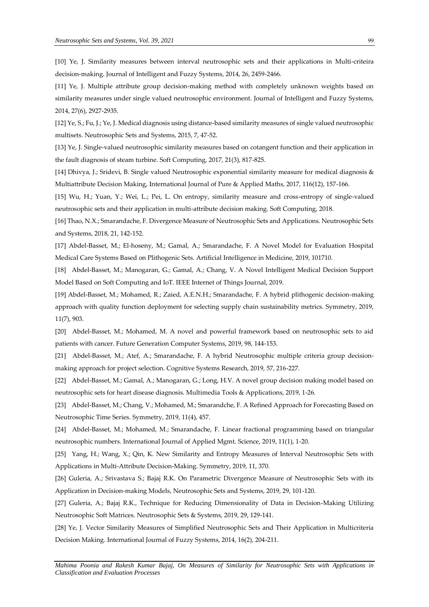[10] Ye, J. Similarity measures between interval neutrosophic sets and their applications in Multi-criteira decision-making. Journal of Intelligent and Fuzzy Systems, 2014, 26, 2459-2466.

[11] Ye, J. Multiple attribute group decision-making method with completely unknown weights based on similarity measures under single valued neutrosophic environment. Journal of Intelligent and Fuzzy Systems, 2014, 27(6), 2927-2935.

[12] Ye, S.; Fu, J.; Ye, J. Medical diagnosis using distance-based similarity measures of single valued neutrosophic multisets. Neutrosophic Sets and Systems, 2015, 7, 47-52.

[13] Ye, J. Single-valued neutrosophic similarity measures based on cotangent function and their application in the fault diagnosis of steam turbine. Soft Computing, 2017, 21(3), 817-825.

[14] Dhivya, J.; Sridevi, B. Single valued Neutrosophic exponential similarity measure for medical diagnosis & Multiattribute Decision Making, International Journal of Pure & Applied Maths, 2017, 116(12), 157-166.

[15] Wu, H.; Yuan, Y.; Wei, L.; Pei, L. On entropy, similarity measure and cross-entropy of single-valued neutrosophic sets and their application in multi-attribute decision making. Soft Computing, 2018.

[16] Thao, N.X.; Smarandache, F. Divergence Measure of Neutrosophic Sets and Applications. Neutrosophic Sets and Systems, 2018, 21, 142-152.

[17] Abdel-Basset, M.; El-hoseny, M.; Gamal, A.; Smarandache, F. A Novel Model for Evaluation Hospital Medical Care Systems Based on Plithogenic Sets. Artificial Intelligence in Medicine, 2019, 101710.

[18] Abdel-Basset, M.; Manogaran, G.; Gamal, A.; Chang, V. A Novel Intelligent Medical Decision Support Model Based on Soft Computing and IoT. IEEE Internet of Things Journal, 2019.

[19] Abdel-Basset, M.; Mohamed, R.; Zaied, A.E.N.H.; Smarandache, F. A hybrid plithogenic decision-making approach with quality function deployment for selecting supply chain sustainability metrics. Symmetry, 2019, 11(7), 903.

[20] Abdel-Basset, M.; Mohamed, M. A novel and powerful framework based on neutrosophic sets to aid patients with cancer. Future Generation Computer Systems, 2019, 98, 144-153.

[21] Abdel-Basset, M.; Atef, A.; Smarandache, F. A hybrid Neutrosophic multiple criteria group decisionmaking approach for project selection. Cognitive Systems Research, 2019, 57, 216-227.

[22] Abdel-Basset, M.; Gamal, A.; Manogaran, G.; Long, H.V. A novel group decision making model based on neutrosophic sets for heart disease diagnosis. Multimedia Tools & Applications, 2019, 1-26.

[23] Abdel-Basset, M.; Chang, V.; Mohamed, M.; Smarandche, F. A Refined Approach for Forecasting Based on Neutrosophic Time Series. Symmetry, 2019, 11(4), 457.

[24] Abdel-Basset, M.; Mohamed, M.; Smarandache, F. Linear fractional programming based on triangular neutrosophic numbers. International Journal of Applied Mgmt. Science, 2019, 11(1), 1-20.

[25] Yang, H.; Wang, X.; Qin, K. New Similarity and Entropy Measures of Interval Neutrosophic Sets with Applications in Multi-Attribute Decision-Making. Symmetry, 2019, 11, 370.

[26] Guleria, A.; Srivastava S.; Bajaj R.K. On Parametric Divergence Measure of Neutrosophic Sets with its Application in Decision-making Models, Neutrosophic Sets and Systems, 2019, 29, 101-120.

[27] Guleria, A.; Bajaj R.K., Technique for Reducing Dimensionality of Data in Decision-Making Utilizing Neutrosophic Soft Matrices. Neutrosophic Sets & Systems, 2019, 29, 129-141.

[28] Ye, J. Vector Similarity Measures of Simplified Neutrosophic Sets and Their Application in Multicriteria Decision Making. International Journal of Fuzzy Systems, 2014, 16(2), 204-211.